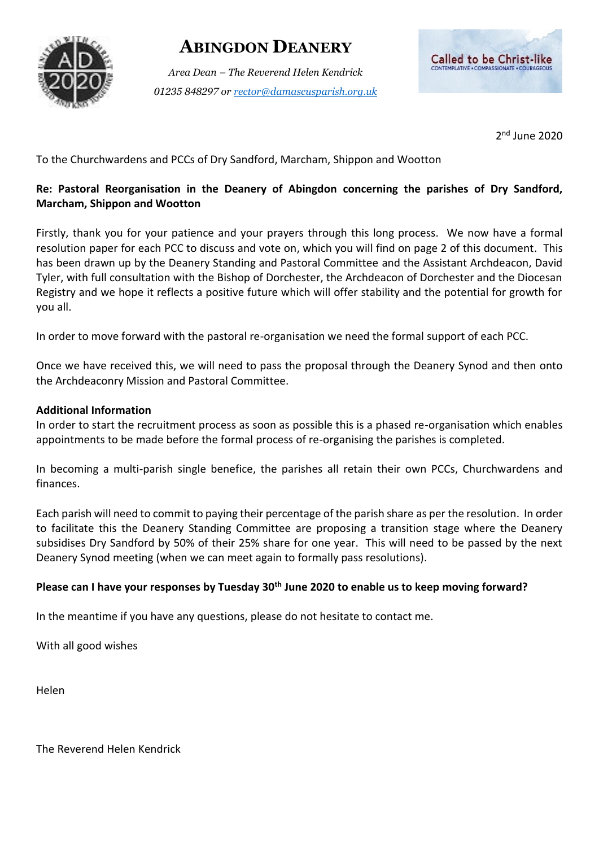# **ABINGDON DEANERY**

*Area Dean – The Reverend Helen Kendrick 01235 848297 or [rector@damascusparish.org.uk](mailto:rector@damascusparish.org.uk)*



2 nd June 2020

To the Churchwardens and PCCs of Dry Sandford, Marcham, Shippon and Wootton

# **Re: Pastoral Reorganisation in the Deanery of Abingdon concerning the parishes of Dry Sandford, Marcham, Shippon and Wootton**

Firstly, thank you for your patience and your prayers through this long process. We now have a formal resolution paper for each PCC to discuss and vote on, which you will find on page 2 of this document. This has been drawn up by the Deanery Standing and Pastoral Committee and the Assistant Archdeacon, David Tyler, with full consultation with the Bishop of Dorchester, the Archdeacon of Dorchester and the Diocesan Registry and we hope it reflects a positive future which will offer stability and the potential for growth for you all.

In order to move forward with the pastoral re-organisation we need the formal support of each PCC.

Once we have received this, we will need to pass the proposal through the Deanery Synod and then onto the Archdeaconry Mission and Pastoral Committee.

#### **Additional Information**

In order to start the recruitment process as soon as possible this is a phased re-organisation which enables appointments to be made before the formal process of re-organising the parishes is completed.

In becoming a multi-parish single benefice, the parishes all retain their own PCCs, Churchwardens and finances.

Each parish will need to commit to paying their percentage of the parish share as per the resolution. In order to facilitate this the Deanery Standing Committee are proposing a transition stage where the Deanery subsidises Dry Sandford by 50% of their 25% share for one year. This will need to be passed by the next Deanery Synod meeting (when we can meet again to formally pass resolutions).

### **Please can I have your responses by Tuesday 30th June 2020 to enable us to keep moving forward?**

In the meantime if you have any questions, please do not hesitate to contact me.

With all good wishes

Helen

The Reverend Helen Kendrick